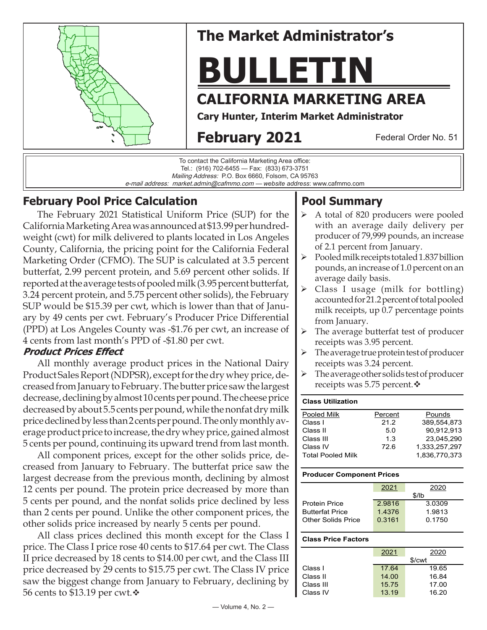

# **The Market Administrator's**

# **BULLETIN**

# **CALIFORNIA MARKETING AREA**

**Cary Hunter, Interim Market Administrator**

# **February 2021**

Federal Order No. 51

To contact the California Marketing Area office: Tel.: (916) 702-6455 — Fax: (833) 673-3751 Mailing Address: P.O. Box 6660, Folsom, CA 95763 e-mail address: market.admin@cafmmo.com — *website address*: www.cafmmo.com

## **February Pool Price Calculation**

The February 2021 Statistical Uniform Price (SUP) for the California Marketing Area was announced at \$13.99 per hundredweight (cwt) for milk delivered to plants located in Los Angeles County, California, the pricing point for the California Federal Marketing Order (CFMO). The SUP is calculated at 3.5 percent butterfat, 2.99 percent protein, and 5.69 percent other solids. If reported at the average tests of pooled milk (3.95 percent butterfat, 3.24 percent protein, and 5.75 percent other solids), the February SUP would be \$15.39 per cwt, which is lower than that of January by 49 cents per cwt. February's Producer Price Differential (PPD) at Los Angeles County was -\$1.76 per cwt, an increase of 4 cents from last month's PPD of -\$1.80 per cwt.

## **Product Prices Effect**

All monthly average product prices in the National Dairy Product Sales Report (NDPSR), except for the dry whey price, decreased from January to February. The butter price saw the largest decrease, declining by almost 10 cents per pound. The cheese price decreased by about 5.5 cents per pound, while the nonfat dry milk price declined by less than 2 cents per pound. The only monthly average product price to increase, the dry whey price, gained almost 5 cents per pound, continuing its upward trend from last month.

All component prices, except for the other solids price, decreased from January to February. The butterfat price saw the largest decrease from the previous month, declining by almost 12 cents per pound. The protein price decreased by more than 5 cents per pound, and the nonfat solids price declined by less than 2 cents per pound. Unlike the other component prices, the other solids price increased by nearly 5 cents per pound.

All class prices declined this month except for the Class I price. The Class I price rose 40 cents to \$17.64 per cwt. The Class II price decreased by 18 cents to \$14.00 per cwt, and the Class III price decreased by 29 cents to \$15.75 per cwt. The Class IV price saw the biggest change from January to February, declining by 56 cents to \$13.19 per cwt. $\cdot$ 

# **Pool Summary**

- A total of 820 producers were pooled with an average daily delivery per producer of 79,999 pounds, an increase of 2.1 percent from January.
- $\triangleright$  Pooled milk receipts totaled 1.837 billion pounds, an increase of 1.0 percent on an average daily basis.
- Class I usage (milk for bottling) accounted for 21.2 percent of total pooled milk receipts, up 0.7 percentage points from January.
- $\triangleright$  The average butterfat test of producer receipts was 3.95 percent.
- $\triangleright$  The average true protein test of producer receipts was 3.24 percent.
- $\triangleright$  The average other solids test of producer receipts was 5.75 percent. $\mathbf{\hat{v}}$

## **Class Utilization**

| Pooled Milk              | Percent | Pounds        |  |
|--------------------------|---------|---------------|--|
| Class I                  | 21.2    | 389.554.873   |  |
| Class II                 | 50      | 90,912,913    |  |
| Class III                | 1.3     | 23.045.290    |  |
| Class IV                 | 72.6    | 1.333.257.297 |  |
| <b>Total Pooled Milk</b> |         | 1.836.770.373 |  |

#### **Producer Component Prices**

|                        | 2021   | 2020   |  |
|------------------------|--------|--------|--|
|                        | \$/lb  |        |  |
| <b>Protein Price</b>   | 2.9816 | 3.0309 |  |
| <b>Butterfat Price</b> | 1.4376 | 1.9813 |  |
| Other Solids Price     | 0.3161 | 0.1750 |  |
|                        |        |        |  |

#### **Class Price Factors**

|           | 2021   | 2020  |  |
|-----------|--------|-------|--|
|           | \$/cwt |       |  |
| Class I   | 17.64  | 19.65 |  |
| Class II  | 14.00  | 16.84 |  |
| Class III | 15.75  | 17.00 |  |
| Class IV  | 13.19  | 16.20 |  |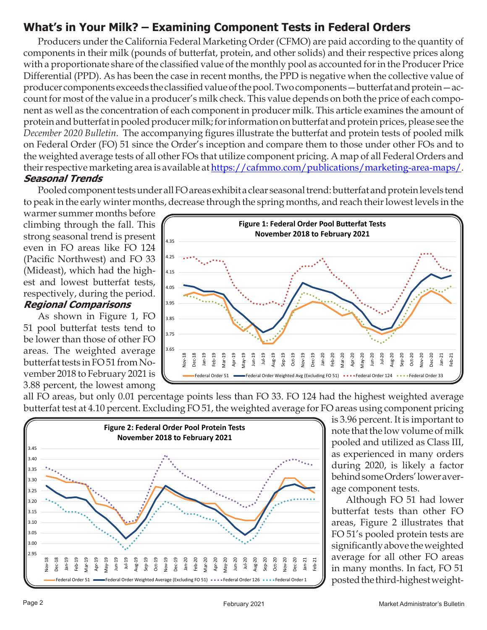# **What's in Your Milk? – Examining Component Tests in Federal Orders**

Producers under the California Federal Marketing Order (CFMO) are paid according to the quantity of components in their milk (pounds of butterfat, protein, and other solids) and their respective prices along with a proportionate share of the classified value of the monthly pool as accounted for in the Producer Price Differential (PPD). As has been the case in recent months, the PPD is negative when the collective value of producer components exceeds the classified value of the pool. Two components—butterfat and protein—account for most of the value in a producer's milk check. This value depends on both the price of each component as well as the concentration of each component in producer milk. This article examines the amount of protein and butterfat in pooled producer milk; for information on butterfat and protein prices, please see the *[December 2020 Bulletin](https://cafmmo.com/publications/monthly-newsletter/)*. The accompanying figures illustrate the butterfat and protein tests of pooled milk on Federal Order (FO) 51 since the Order's inception and compare them to those under other FOs and to the weighted average tests of all other FOs that utilize component pricing. A map of all Federal Orders and their respective marketing area is available at https://cafmmo.com/publications/marketing-area-maps/. **Seasonal Trends**

Pooled component tests under all FO areas exhibit a clear seasonal trend: butterfat and protein levels tend to peak in the early winter months, decrease through the spring months, and reach their lowest levels in the

warmer summer months before climbing through the fall. This strong seasonal trend is present even in FO areas like FO 124 (Pacific Northwest) and FO 33 (Mideast), which had the highest and lowest butterfat tests, respectively, during the period.

#### **Regional Comparisons**

As shown in Figure 1, FO 51 pool butterfat tests tend to be lower than those of other FO areas. The weighted average butterfat tests in FO 51 from November 2018 to February 2021 is 3.88 percent, the lowest among



all FO areas, but only 0.01 percentage points less than FO 33. FO 124 had the highest weighted average butterfat test at 4.10 percent. Excluding FO 51, the weighted average for FO areas using component pricing



is 3.96 percent. It is important to note that the low volume of milk pooled and utilized as Class III, as experienced in many orders during 2020, is likely a factor behind some Orders' lower average component tests.

Although FO 51 had lower butterfat tests than other FO areas, Figure 2 illustrates that FO 51's pooled protein tests are significantly above the weighted average for all other FO areas in many months. In fact, FO 51 posted the third-highest weight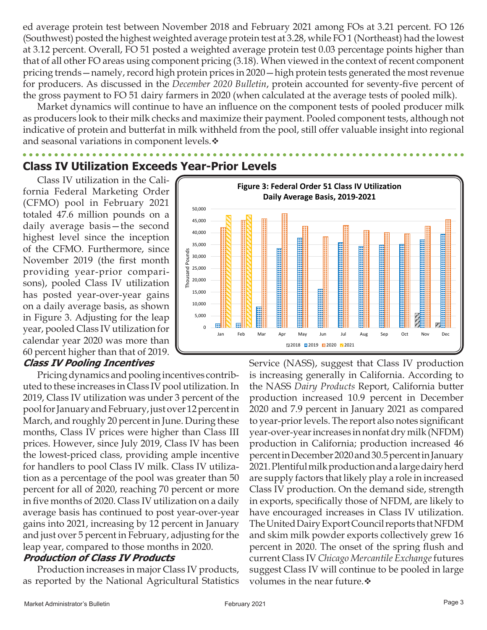ed average protein test between November 2018 and February 2021 among FOs at 3.21 percent. FO 126 (Southwest) posted the highest weighted average protein test at 3.28, while FO 1 (Northeast) had the lowest at 3.12 percent. Overall, FO 51 posted a weighted average protein test 0.03 percentage points higher than that of all other FO areas using component pricing (3.18). When viewed in the context of recent component pricing trends—namely, record high protein prices in 2020—high protein tests generated the most revenue for producers. As discussed in the *[December 2020 Bulletin](https://cafmmo.com/publications/monthly-newsletter/)*, protein accounted for seventy-five percent of the gross payment to FO 51 dairy farmers in 2020 (when calculated at the average tests of pooled milk).

Market dynamics will continue to have an influence on the component tests of pooled producer milk as producers look to their milk checks and maximize their payment. Pooled component tests, although not indicative of protein and butterfat in milk withheld from the pool, still offer valuable insight into regional and seasonal variations in component levels. $\cdot$ 

# **Class IV Utilization Exceeds Year-Prior Levels**

Class IV utilization in the California Federal Marketing Order (CFMO) pool in February 2021 totaled 47.6 million pounds on a daily average basis—the second highest level since the inception of the CFMO. Furthermore, since November 2019 (the first month providing year-prior comparisons), pooled Class IV utilization has posted year-over-year gains on a daily average basis, as shown in Figure 3. Adjusting for the leap year, pooled Class IV utilization for calendar year 2020 was more than 60 percent higher than that of 2019.

#### **Class IV Pooling Incentives**

Pricing dynamics and pooling incentives contributed to these increases in Class IV pool utilization. In 2019, Class IV utilization was under 3 percent of the pool for January and February, just over 12 percent in March, and roughly 20 percent in June. During these months, Class IV prices were higher than Class III prices. However, since July 2019, Class IV has been the lowest-priced class, providing ample incentive for handlers to pool Class IV milk. Class IV utilization as a percentage of the pool was greater than 50 percent for all of 2020, reaching 70 percent or more in five months of 2020. Class IV utilization on a daily average basis has continued to post year-over-year gains into 2021, increasing by 12 percent in January and just over 5 percent in February, adjusting for the leap year, compared to those months in 2020.

#### **Production of Class IV Products**

Production increases in major Class IV products, as reported by the National Agricultural Statistics



Service (NASS), suggest that Class IV production is increasing generally in California. According to the NASS *Dairy Products* Report, California butter production increased 10.9 percent in December 2020 and 7.9 percent in January 2021 as compared to year-prior levels. The report also notes significant year-over-year increases in nonfat dry milk (NFDM) production in California; production increased 46 percent in December 2020 and 30.5 percent in January 2021. Plentiful milk production and a large dairy herd are supply factors that likely play a role in increased Class IV production. On the demand side, strength in exports, specifically those of NFDM, are likely to have encouraged increases in Class IV utilization. The United Dairy Export Council reports that NFDM and skim milk powder exports collectively grew 16 percent in 2020. The onset of the spring flush and current Class IV *Chicago Mercantile Exchange* futures suggest Class IV will continue to be pooled in large volumes in the near future. $\cdot$